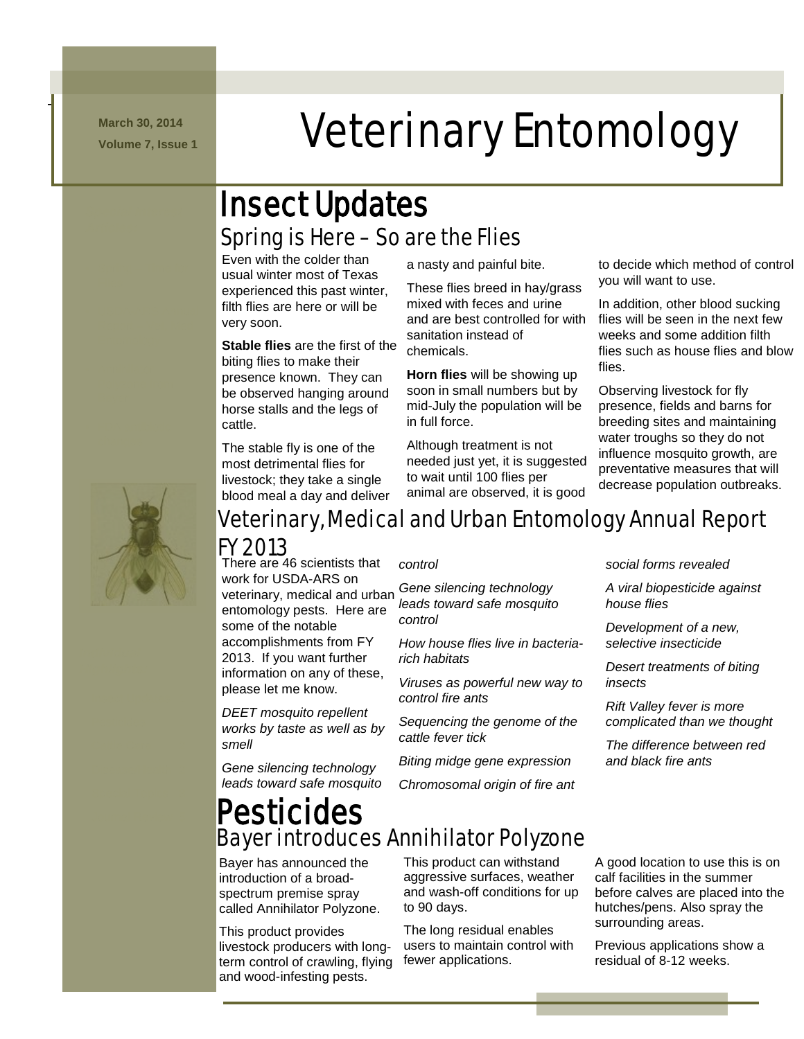**March 30, 2014**

-/.///../. mmmmmmmm

# **March 30, 2014 Veterinary Entomology**

### Spring is Here – So are the Flies Insect Updates

Even with the colder than usual winter most of Texas experienced this past winter, filth flies are here or will be very soon.

**Stable flies** are the first of the biting flies to make their presence known. They can be observed hanging around horse stalls and the legs of cattle.

The stable fly is one of the most detrimental flies for livestock; they take a single blood meal a day and deliver a nasty and painful bite.

These flies breed in hay/grass mixed with feces and urine and are best controlled for with sanitation instead of chemicals.

**Horn flies** will be showing up soon in small numbers but by mid-July the population will be in full force.

Although treatment is not needed just yet, it is suggested to wait until 100 flies per animal are observed, it is good

to decide which method of control you will want to use.

In addition, other blood sucking flies will be seen in the next few weeks and some addition filth flies such as house flies and blow flies.

Observing livestock for fly presence, fields and barns for breeding sites and maintaining water troughs so they do not influence mosquito growth, are preventative measures that will decrease population outbreaks.



### Veterinary, Medical and Urban Entomology Annual Report FY 2013

There are 46 scientists that work for USDA-ARS on veterinary, medical and urban entomology pests. Here are some of the notable accomplishments from FY 2013. If you want further information on any of these, please let me know.

*DEET mosquito repellent works by taste as well as by smell*

*Gene silencing technology leads toward safe mosquito*  *control*

*Gene silencing technology leads toward safe mosquito control*

*How house flies live in bacteriarich habitats*

*Viruses as powerful new way to control fire ants*

*Sequencing the genome of the cattle fever tick*

*Biting midge gene expression*

*Chromosomal origin of fire ant* 

#### *social forms revealed*

*A viral biopesticide against house flies*

*Development of a new, selective insecticide*

*Desert treatments of biting insects*

*Rift Valley fever is more complicated than we thought*

*The difference between red and black fire ants*

### Bayer introduces Annihilator Polyzone Pesticides

Bayer has announced the introduction of a broadspectrum premise spray called Annihilator Polyzone.

This product provides livestock producers with longterm control of crawling, flying and wood-infesting pests.

This product can withstand aggressive surfaces, weather and wash-off conditions for up to 90 days.

The long residual enables users to maintain control with fewer applications.

A good location to use this is on calf facilities in the summer before calves are placed into the hutches/pens. Also spray the surrounding areas.

Previous applications show a residual of 8-12 weeks.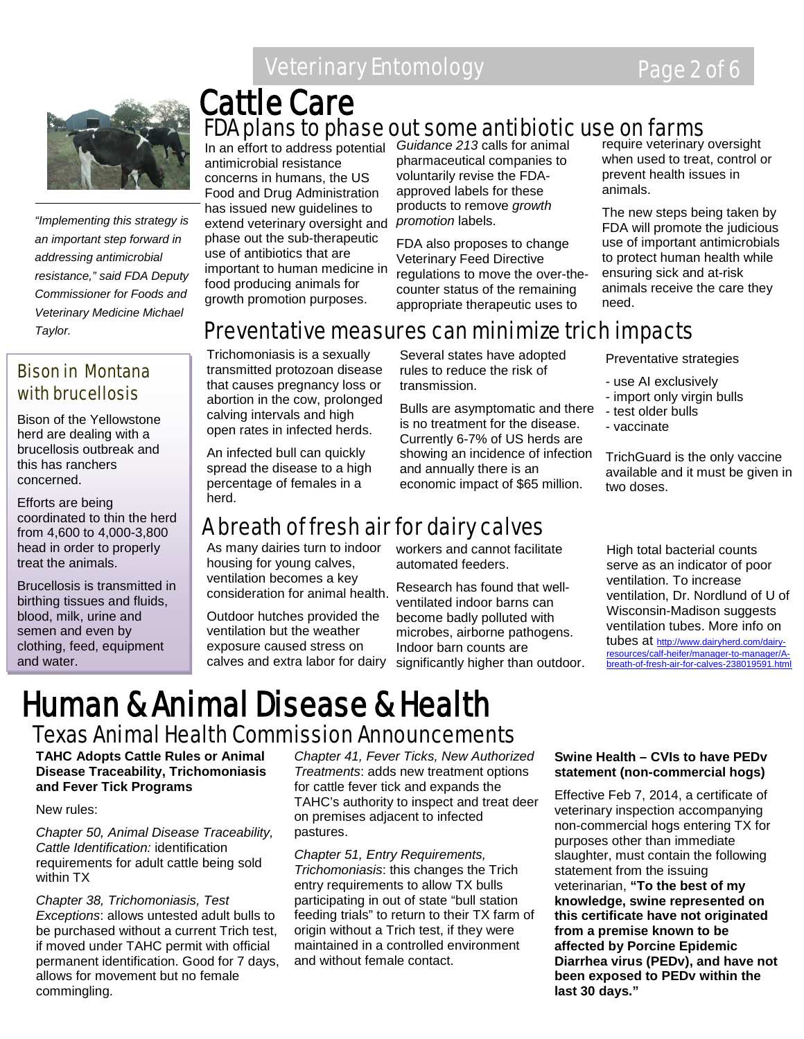### Veterinary Entomology **Page 2 of 6**



*"Implementing this strategy is an important step forward in addressing antimicrobial resistance," said FDA Deputy Commissioner for Foods and Veterinary Medicine Michael Taylor.*

### Bison in Montana with brucellosis

Bison of the Yellowstone herd are dealing with a brucellosis outbreak and this has ranchers concerned.

Efforts are being coordinated to thin the herd from 4,600 to 4,000-3,800 head in order to properly treat the animals.

Brucellosis is transmitted in birthing tissues and fluids, blood, milk, urine and semen and even by clothing, feed, equipment and water.

### FDA plans to phase out some antibiotic use on farms Cattle Care

In an effort to address potential *Guidance 213* calls for animal antimicrobial resistance concerns in humans, the US Food and Drug Administration has issued new guidelines to extend veterinary oversight and phase out the sub-therapeutic use of antibiotics that are important to human medicine in food producing animals for growth promotion purposes.

pharmaceutical companies to voluntarily revise the FDAapproved labels for these products to remove *growth promotion* labels.

FDA also proposes to change Veterinary Feed Directive regulations to move the over-thecounter status of the remaining appropriate therapeutic uses to

require veterinary oversight when used to treat, control or prevent health issues in animals.

The new steps being taken by FDA will promote the judicious use of important antimicrobials to protect human health while ensuring sick and at-risk animals receive the care they need.

### Preventative measures can minimize trich impacts

Trichomoniasis is a sexually transmitted protozoan disease that causes pregnancy loss or abortion in the cow, prolonged calving intervals and high open rates in infected herds.

An infected bull can quickly spread the disease to a high percentage of females in a herd.

### A breath of fresh air for dairy calves

As many dairies turn to indoor housing for young calves, ventilation becomes a key consideration for animal health.

Outdoor hutches provided the ventilation but the weather exposure caused stress on

Several states have adopted rules to reduce the risk of transmission.

Bulls are asymptomatic and there is no treatment for the disease. Currently 6-7% of US herds are showing an incidence of infection and annually there is an economic impact of \$65 million.

Preventative strategies

- use AI exclusively
- import only virgin bulls
- test older bulls
- vaccinate

TrichGuard is the only vaccine available and it must be given in two doses.

workers and cannot facilitate automated feeders.

calves and extra labor for dairy significantly higher than outdoor. Research has found that wellventilated indoor barns can become badly polluted with microbes, airborne pathogens. Indoor barn counts are

High total bacterial counts serve as an indicator of poor ventilation. To increase ventilation, Dr. Nordlund of U of Wisconsin-Madison suggests ventilation tubes. More info on tubes at [http://www.dairyherd.com/dairy](http://www.dairyherd.com/dairy-resources/calf-heifer/manager-to-manager/A-breath-of-fresh-air-for-calves-238019591.html)[resources/calf-heifer/manager-to-manager/A](http://www.dairyherd.com/dairy-resources/calf-heifer/manager-to-manager/A-breath-of-fresh-air-for-calves-238019591.html)[breath-of-fresh-air-for-calves-238019591.html](http://www.dairyherd.com/dairy-resources/calf-heifer/manager-to-manager/A-breath-of-fresh-air-for-calves-238019591.html)

### Human & Animal Disease & Health Texas Animal Health Commission Announcements

**TAHC Adopts Cattle Rules or Animal Disease Traceability, Trichomoniasis and Fever Tick Programs**

#### New rules:

*Chapter 50, Animal Disease Traceability, Cattle Identification:* identification requirements for adult cattle being sold within TX

*Chapter 38, Trichomoniasis, Test Exceptions*: allows untested adult bulls to be purchased without a current Trich test, if moved under TAHC permit with official permanent identification. Good for 7 days, allows for movement but no female commingling.

*Chapter 41, Fever Ticks, New Authorized Treatments*: adds new treatment options for cattle fever tick and expands the TAHC's authority to inspect and treat deer on premises adjacent to infected pastures.

*Chapter 51, Entry Requirements, Trichomoniasis*: this changes the Trich entry requirements to allow TX bulls participating in out of state "bull station feeding trials" to return to their TX farm of origin without a Trich test, if they were maintained in a controlled environment and without female contact.

#### **Swine Health – CVIs to have PEDv statement (non-commercial hogs)**

Effective Feb 7, 2014, a certificate of veterinary inspection accompanying non-commercial hogs entering TX for purposes other than immediate slaughter, must contain the following statement from the issuing veterinarian, **"To the best of my knowledge, swine represented on this certificate have not originated from a premise known to be affected by Porcine Epidemic Diarrhea virus (PEDv), and have not been exposed to PEDv within the last 30 days."**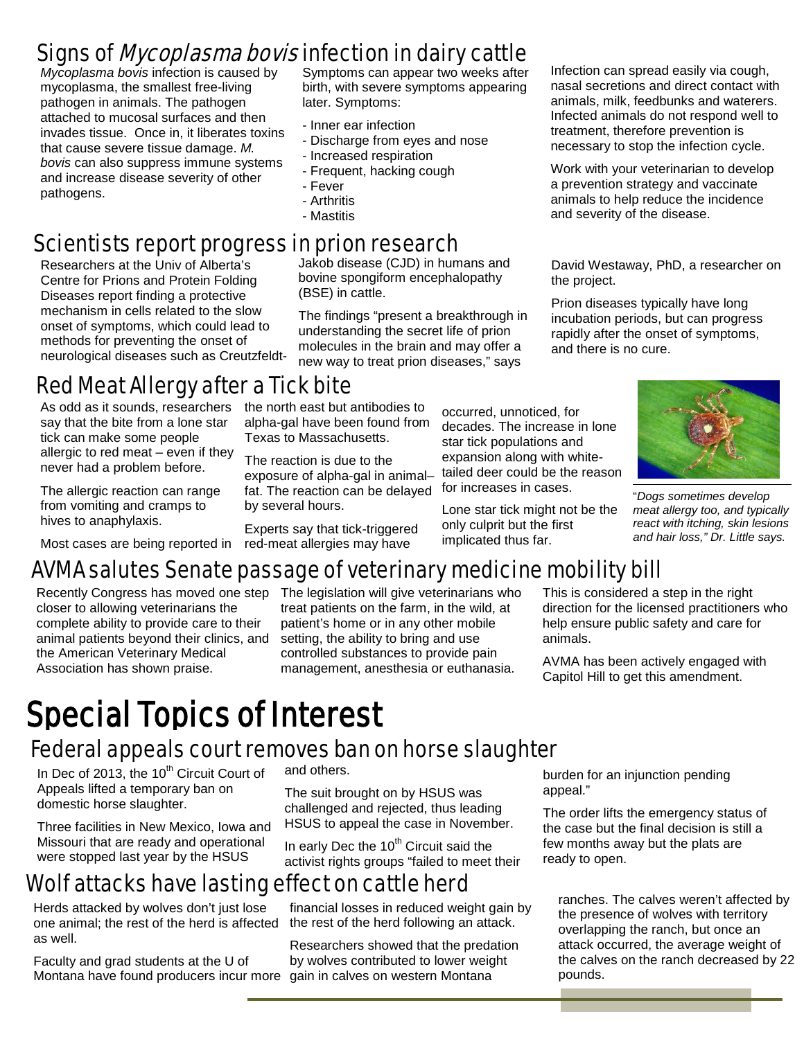### Signs of *Mycoplasma bovis* infection in dairy cattle

*Mycoplasma bovis* infection is caused by mycoplasma, the smallest free-living pathogen in animals. The pathogen attached to mucosal surfaces and then invades tissue. Once in, it liberates toxins that cause severe tissue damage. *M. bovis* can also suppress immune systems and increase disease severity of other pathogens.

Symptoms can appear two weeks after birth, with severe symptoms appearing later. Symptoms:

- Inner ear infection
- Discharge from eyes and nose
- Increased respiration
- Frequent, hacking cough
- Fever
- Arthritis
- Mastitis

### Scientists report progress in prion research

Researchers at the Univ of Alberta's Centre for Prions and Protein Folding Diseases report finding a protective mechanism in cells related to the slow onset of symptoms, which could lead to methods for preventing the onset of neurological diseases such as CreutzfeldtJakob disease (CJD) in humans and bovine spongiform encephalopathy (BSE) in cattle.

The findings "present a breakthrough in understanding the secret life of prion molecules in the brain and may offer a new way to treat prion diseases," says

Infection can spread easily via cough, nasal secretions and direct contact with animals, milk, feedbunks and waterers. Infected animals do not respond well to treatment, therefore prevention is necessary to stop the infection cycle.

Work with your veterinarian to develop a prevention strategy and vaccinate animals to help reduce the incidence and severity of the disease.

David Westaway, PhD, a researcher on the project.

Prion diseases typically have long incubation periods, but can progress rapidly after the onset of symptoms, and there is no cure.



"*Dogs sometimes develop meat allergy too, and typically react with itching, skin lesions and hair loss," Dr. Little says.*

### Red Meat Allergy after a Tick bite the north east but antibodies to

As odd as it sounds, researchers say that the bite from a lone star tick can make some people allergic to red meat – even if they never had a problem before.

The allergic reaction can range from vomiting and cramps to hives to anaphylaxis.

Most cases are being reported in

### AVMA salutes Senate passage of veterinary medicine mobility bill

Experts say that tick-triggered red-meat allergies may have

alpha-gal have been found from

closer to allowing veterinarians the complete ability to provide care to their animal patients beyond their clinics, and the American Veterinary Medical Association has shown praise.

Recently Congress has moved one step The legislation will give veterinarians who treat patients on the farm, in the wild, at patient's home or in any other mobile setting, the ability to bring and use controlled substances to provide pain management, anesthesia or euthanasia.

This is considered a step in the right direction for the licensed practitioners who help ensure public safety and care for animals.

AVMA has been actively engaged with Capitol Hill to get this amendment.

# Special Topics of Interest

### Federal appeals court removes ban on horse slaughter

by several hours.

In Dec of 2013, the 10<sup>th</sup> Circuit Court of Appeals lifted a temporary ban on domestic horse slaughter.

Three facilities in New Mexico, Iowa and Missouri that are ready and operational were stopped last year by the HSUS

and others.

The suit brought on by HSUS was challenged and rejected, thus leading HSUS to appeal the case in November.

In early Dec the 10<sup>th</sup> Circuit said the activist rights groups "failed to meet their

### Wolf attacks have lasting effect on cattle herd

Herds attacked by wolves don't just lose one animal; the rest of the herd is affected as well.

Faculty and grad students at the U of Montana have found producers incur more

financial losses in reduced weight gain by the rest of the herd following an attack.

Researchers showed that the predation by wolves contributed to lower weight gain in calves on western Montana

burden for an injunction pending appeal."

The order lifts the emergency status of the case but the final decision is still a few months away but the plats are ready to open.

ranches. The calves weren't affected by the presence of wolves with territory overlapping the ranch, but once an attack occurred, the average weight of the calves on the ranch decreased by 22 pounds.

decades. The increase in lone star tick populations and expansion along with whitetailed deer could be the reason for increases in cases. Texas to Massachusetts. The reaction is due to the exposure of alpha-gal in animal– fat. The reaction can be delayed

Lone star tick might not be the only culprit but the first implicated thus far.

occurred, unnoticed, for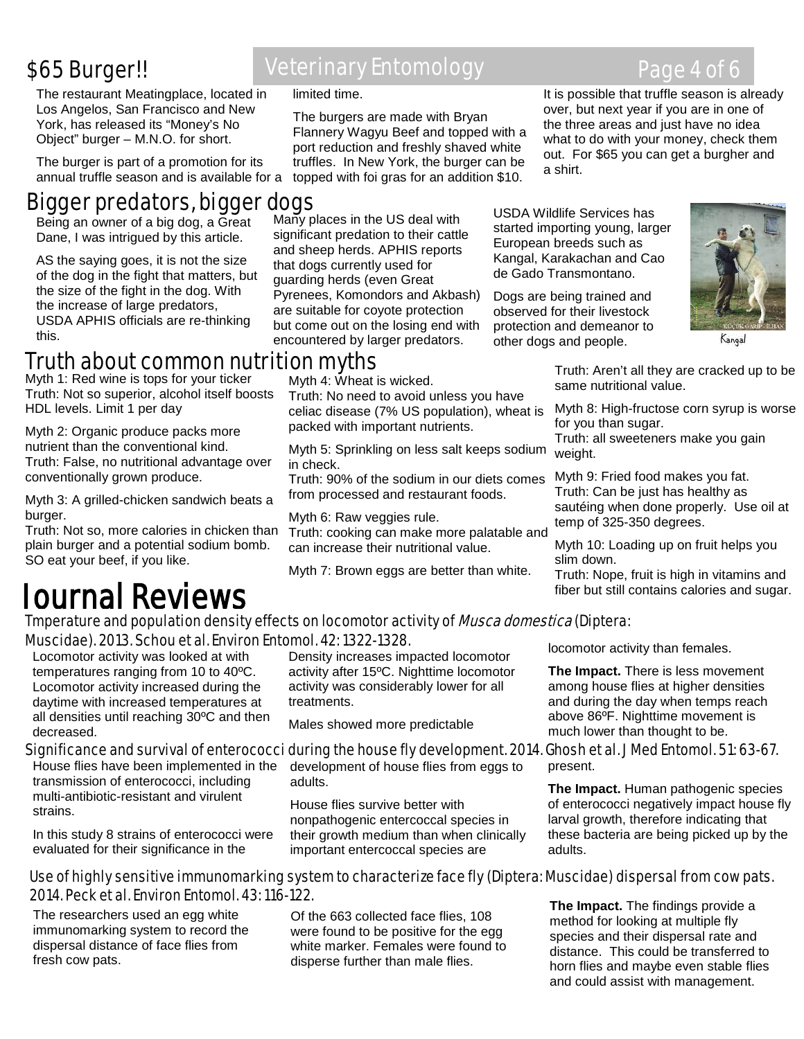### \$65 Burger!!

The restaurant Meatingplace, located in Los Angelos, San Francisco and New York, has released its "Money's No Object" burger – M.N.O. for short.

The burger is part of a promotion for its annual truffle season and is available for a

## Bigger predators, bigger dogs<br>
Paint and wildlife Services has

Being an owner of a big dog, a Great Dane, I was intrigued by this article.

AS the saying goes, it is not the size of the dog in the fight that matters, but the size of the fight in the dog. With the increase of large predators, USDA APHIS officials are re-thinking this.

Many places in the US deal with significant predation to their cattle and sheep herds. APHIS reports that dogs currently used for guarding herds (even Great Pyrenees, Komondors and Akbash) are suitable for coyote protection but come out on the losing end with encountered by larger predators.

The burgers are made with Bryan Flannery Wagyu Beef and topped with a port reduction and freshly shaved white truffles. In New York, the burger can be topped with foi gras for an addition \$10.

limited time.

started importing young, larger European breeds such as Kangal, Karakachan and Cao de Gado Transmontano.

Dogs are being trained and observed for their livestock protection and demeanor to other dogs and people.



Kangal

### Truth about common nutrition myths

Myth 1: Red wine is tops for your ticker Truth: Not so superior, alcohol itself boosts HDL levels. Limit 1 per day

Myth 2: Organic produce packs more nutrient than the conventional kind. Truth: False, no nutritional advantage over conventionally grown produce.

Myth 3: A grilled-chicken sandwich beats a burger.

Truth: Not so, more calories in chicken than plain burger and a potential sodium bomb. SO eat your beef, if you like.

# Journal Reviews

Myth 4: Wheat is wicked. Truth: No need to avoid unless you have

celiac disease (7% US population), wheat is packed with important nutrients.

Myth 5: Sprinkling on less salt keeps sodium in check.

Truth: 90% of the sodium in our diets comes from processed and restaurant foods.

Myth 6: Raw veggies rule. Truth: cooking can make more palatable and can increase their nutritional value.

Myth 7: Brown eggs are better than white.

Truth: Aren't all they are cracked up to be same nutritional value.

Myth 8: High-fructose corn syrup is worse for you than sugar. Truth: all sweeteners make you gain

weight.

Myth 9: Fried food makes you fat. Truth: Can be just has healthy as sautéing when done properly. Use oil at temp of 325-350 degrees.

Myth 10: Loading up on fruit helps you slim down.

Truth: Nope, fruit is high in vitamins and fiber but still contains calories and sugar.

#### Tmperature and population density effects on locomotor activity of *Musca domestica* (Diptera: Muscidae). 2013. Schou et al. Environ Entomol. 42: 1322-1328.

Locomotor activity was looked at with temperatures ranging from 10 to 40ºC. Locomotor activity increased during the daytime with increased temperatures at all densities until reaching 30ºC and then decreased.

House flies have been implemented in the transmission of enterococci, including multi-antibiotic-resistant and virulent strains.

In this study 8 strains of enterococci were evaluated for their significance in the

Density increases impacted locomotor activity after 15ºC. Nighttime locomotor activity was considerably lower for all treatments.

Males showed more predictable

#### Significance and survival of enterococci during the house fly development. 2014. Ghosh et al. J Med Entomol. 51: 63-67.

development of house flies from eggs to adults.

House flies survive better with nonpathogenic entercoccal species in their growth medium than when clinically important entercoccal species are

locomotor activity than females.

**The Impact.** There is less movement among house flies at higher densities and during the day when temps reach above 86ºF. Nighttime movement is much lower than thought to be.

### present.

**The Impact.** Human pathogenic species of enterococci negatively impact house fly larval growth, therefore indicating that these bacteria are being picked up by the adults.

#### Use of highly sensitive immunomarking system to characterize face fly (Diptera: Muscidae) dispersal from cow pats. 2014. Peck et al. Environ Entomol. 43: 116-122.

Ĭ The researchers used an egg white immunomarking system to record the dispersal distance of face flies from fresh cow pats.

Of the 663 collected face flies, 108 were found to be positive for the egg white marker. Females were found to disperse further than male flies.

**The Impact.** The findings provide a method for looking at multiple fly species and their dispersal rate and distance. This could be transferred to horn flies and maybe even stable flies and could assist with management.

### Veterinary Entomology **Page 4 of 6**

It is possible that truffle season is already over, but next year if you are in one of the three areas and just have no idea what to do with your money, check them out. For \$65 you can get a burgher and a shirt.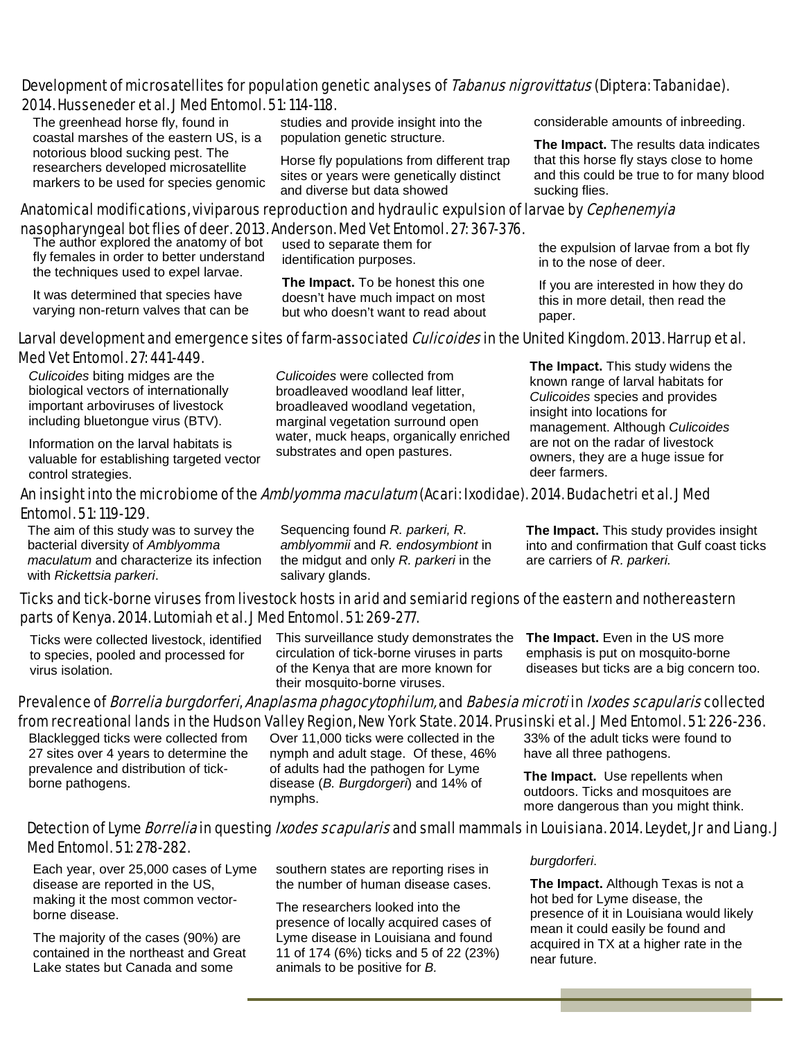#### Development of microsatellites for population genetic analyses of Tabanus nigrovittatus (Diptera: Tabanidae). 2014. Husseneder et al. J Med Entomol. 51: 114-118.

 The greenhead horse fly, found in coastal marshes of the eastern US, is a notorious blood sucking pest. The researchers developed microsatellite markers to be used for species genomic

studies and provide insight into the population genetic structure.

Horse fly populations from different trap sites or years were genetically distinct and diverse but data showed

#### Anatomical modifications, viviparous reproduction and hydraulic expulsion of larvae by *Cephenemyia* nasopharyngeal bot flies of deer. 2013. Anderson. Med Vet Entomol. 27: 367-376.

The author explored the anatomy of bot fly females in order to better understand the techniques used to expel larvae.

It was determined that species have varying non-return valves that can be

used to separate them for identification purposes.

**The Impact.** To be honest this one doesn't have much impact on most but who doesn't want to read about considerable amounts of inbreeding.

**The Impact.** The results data indicates that this horse fly stays close to home and this could be true to for many blood sucking flies.

the expulsion of larvae from a bot fly in to the nose of deer.

If you are interested in how they do this in more detail, then read the paper.

#### Larval development and emergence sites of farm-associated *Culicoides* in the United Kingdom. 2013. Harrup et al. Med Vet Entomol. 27: 441-449.

*Culicoides* biting midges are the biological vectors of internationally important arboviruses of livestock including bluetongue virus (BTV).

Information on the larval habitats is valuable for establishing targeted vector control strategies.

*Culicoides* were collected from broadleaved woodland leaf litter, broadleaved woodland vegetation, marginal vegetation surround open water, muck heaps, organically enriched substrates and open pastures.

**The Impact.** This study widens the known range of larval habitats for *Culicoides* species and provides insight into locations for management. Although *Culicoides*  are not on the radar of livestock owners, they are a huge issue for deer farmers.

#### An insight into the microbiome of the *Amblyomma maculatum* (Acari: Ixodidae). 2014. Budachetri et al. J Med Entomol. 51: 119-129.

The aim of this study was to survey the bacterial diversity of *Amblyomma maculatum* and characterize its infection with *Rickettsia parkeri*.

Sequencing found *R. parkeri, R. amblyommii* and *R. endosymbiont* in the midgut and only *R. parkeri* in the salivary glands.

**The Impact.** This study provides insight into and confirmation that Gulf coast ticks are carriers of *R. parkeri.*

#### Ticks and tick-borne viruses from livestock hosts in arid and semiarid regions of the eastern and nothereastern parts of Kenya. 2014. Lutomiah et al. J Med Entomol. 51: 269-277.

Ticks were collected livestock, identified to species, pooled and processed for virus isolation.

This surveillance study demonstrates the circulation of tick-borne viruses in parts of the Kenya that are more known for their mosquito-borne viruses.

**The Impact.** Even in the US more emphasis is put on mosquito-borne diseases but ticks are a big concern too.

#### Prevalence of Borrelia burgdorferi, Anaplasma phagocytophilum, and Babesia microti in Ixodes scapularis collected from recreational lands in the Hudson Valley Region, New York State. 2014. Prusinski et al. J Med Entomol. 51: 226-236.

Blacklegged ticks were collected from 27 sites over 4 years to determine the prevalence and distribution of tickborne pathogens.

Over 11,000 ticks were collected in the nymph and adult stage. Of these, 46% of adults had the pathogen for Lyme disease (*B. Burgdorgeri*) and 14% of nymphs.

33% of the adult ticks were found to have all three pathogens.

**The Impact.** Use repellents when outdoors. Ticks and mosquitoes are more dangerous than you might think.

#### Detection of Lyme *Borrelia* in questing *Ixodes scapularis* and small mammals in Louisiana. 2014. Leydet, Jr and Liang. J Med Entomol. 51: 278-282.

Each year, over 25,000 cases of Lyme disease are reported in the US, making it the most common vectorborne disease.

The majority of the cases (90%) are contained in the northeast and Great Lake states but Canada and some

southern states are reporting rises in the number of human disease cases.

The researchers looked into the presence of locally acquired cases of Lyme disease in Louisiana and found 11 of 174 (6%) ticks and 5 of 22 (23%)

animals to be positive for *B.* 

*burgdorferi*.

**The Impact.** Although Texas is not a hot bed for Lyme disease, the presence of it in Louisiana would likely mean it could easily be found and acquired in TX at a higher rate in the near future.